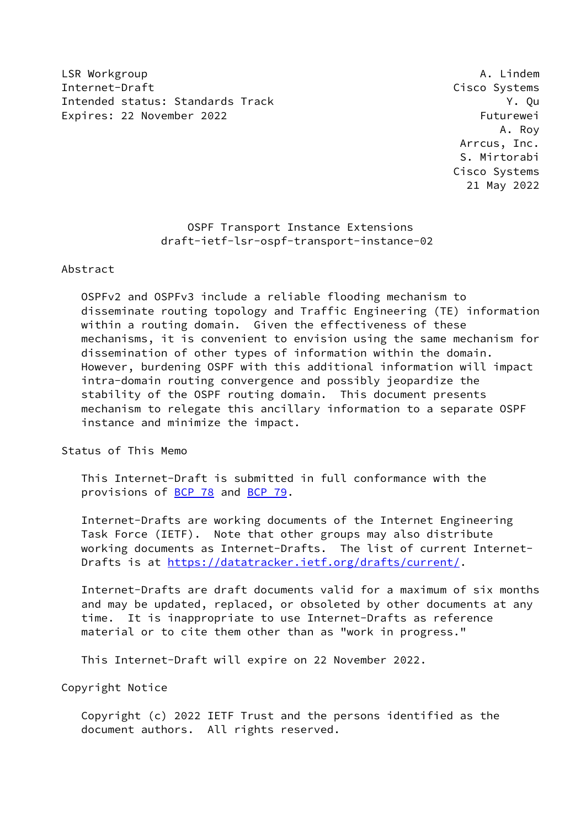LSR Workgroup **A. Lindem** Internet-Draft Cisco Systems Intended status: Standards Track Y. Qu Expires: 22 November 2022 Futurewei

 A. Roy Arrcus, Inc. S. Mirtorabi Cisco Systems 21 May 2022

> OSPF Transport Instance Extensions draft-ietf-lsr-ospf-transport-instance-02

#### Abstract

 OSPFv2 and OSPFv3 include a reliable flooding mechanism to disseminate routing topology and Traffic Engineering (TE) information within a routing domain. Given the effectiveness of these mechanisms, it is convenient to envision using the same mechanism for dissemination of other types of information within the domain. However, burdening OSPF with this additional information will impact intra-domain routing convergence and possibly jeopardize the stability of the OSPF routing domain. This document presents mechanism to relegate this ancillary information to a separate OSPF instance and minimize the impact.

Status of This Memo

 This Internet-Draft is submitted in full conformance with the provisions of [BCP 78](https://datatracker.ietf.org/doc/pdf/bcp78) and [BCP 79](https://datatracker.ietf.org/doc/pdf/bcp79).

 Internet-Drafts are working documents of the Internet Engineering Task Force (IETF). Note that other groups may also distribute working documents as Internet-Drafts. The list of current Internet- Drafts is at<https://datatracker.ietf.org/drafts/current/>.

 Internet-Drafts are draft documents valid for a maximum of six months and may be updated, replaced, or obsoleted by other documents at any time. It is inappropriate to use Internet-Drafts as reference material or to cite them other than as "work in progress."

This Internet-Draft will expire on 22 November 2022.

Copyright Notice

 Copyright (c) 2022 IETF Trust and the persons identified as the document authors. All rights reserved.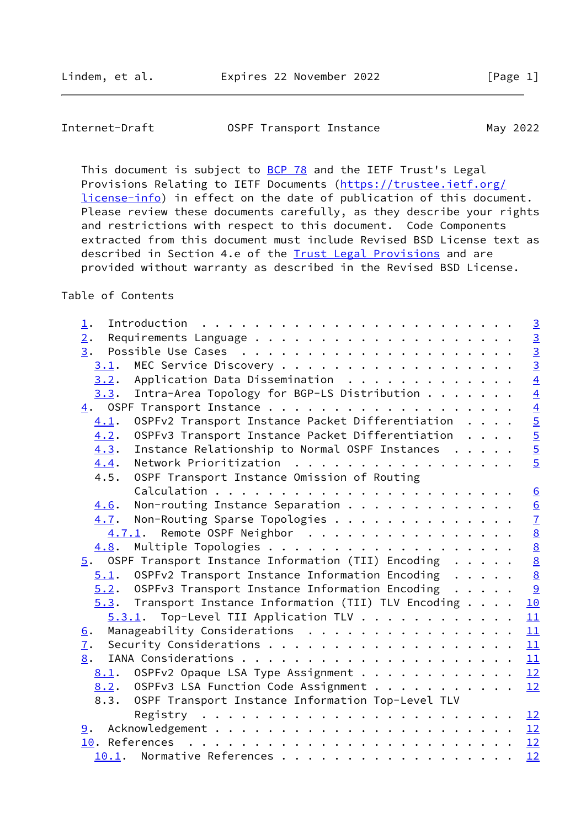| Internet-Draft | OSPF Transport Instance | May 2022 |
|----------------|-------------------------|----------|
|                |                         |          |

This document is subject to **[BCP 78](https://datatracker.ietf.org/doc/pdf/bcp78)** and the IETF Trust's Legal Provisions Relating to IETF Documents ([https://trustee.ietf.org/](https://trustee.ietf.org/license-info) [license-info](https://trustee.ietf.org/license-info)) in effect on the date of publication of this document. Please review these documents carefully, as they describe your rights and restrictions with respect to this document. Code Components extracted from this document must include Revised BSD License text as described in Section 4.e of the **Trust Legal Provisions** and are provided without warranty as described in the Revised BSD License.

# Table of Contents

| $\perp$ .                                                 | $\overline{3}$  |
|-----------------------------------------------------------|-----------------|
| 2.                                                        | $\frac{1}{2}$   |
| 3.                                                        |                 |
| 3.1.                                                      |                 |
| Application Data Dissemination<br>3.2.                    | $\overline{4}$  |
| Intra-Area Topology for BGP-LS Distribution<br>3.3.       | $\overline{4}$  |
| 4.                                                        |                 |
| OSPFv2 Transport Instance Packet Differentiation<br>4.1.  | $\frac{4}{5}$   |
| OSPFv3 Transport Instance Packet Differentiation<br>4.2.  |                 |
| Instance Relationship to Normal OSPF Instances<br>4.3.    |                 |
| Network Prioritization<br>4.4.                            | $\overline{5}$  |
| OSPF Transport Instance Omission of Routing<br>4.5.       |                 |
|                                                           | $\underline{6}$ |
| Non-routing Instance Separation<br>4.6.                   |                 |
| $4.7$ . Non-Routing Sparse Topologies                     | $\frac{6}{7}$   |
| 4.7.1. Remote OSPF Neighbor                               | $\frac{8}{8}$   |
| 4.8.                                                      |                 |
| $5.$ OSPF Transport Instance Information (TII) Encoding   | $\underline{8}$ |
| OSPFv2 Transport Instance Information Encoding<br>5.1.    | $\underline{8}$ |
| $5.2.$ OSPFv3 Transport Instance Information Encoding     | 9               |
| $5.3$ . Transport Instance Information (TII) TLV Encoding | 10              |
| Top-Level TII Application TLV<br>5.3.1.                   | 11              |
| Manageability Considerations<br><u>6</u> .                | 11              |
| 7.                                                        | 11              |
| 8.                                                        | 11              |
| 8.1. OSPFv2 Opaque LSA Type Assignment                    | 12              |
| OSPFv3 LSA Function Code Assignment<br>8.2.               | 12              |
| OSPF Transport Instance Information Top-Level TLV<br>8.3. |                 |
|                                                           |                 |
| 9.                                                        |                 |
|                                                           |                 |
| Normative References<br>10.1.                             | 12              |
|                                                           |                 |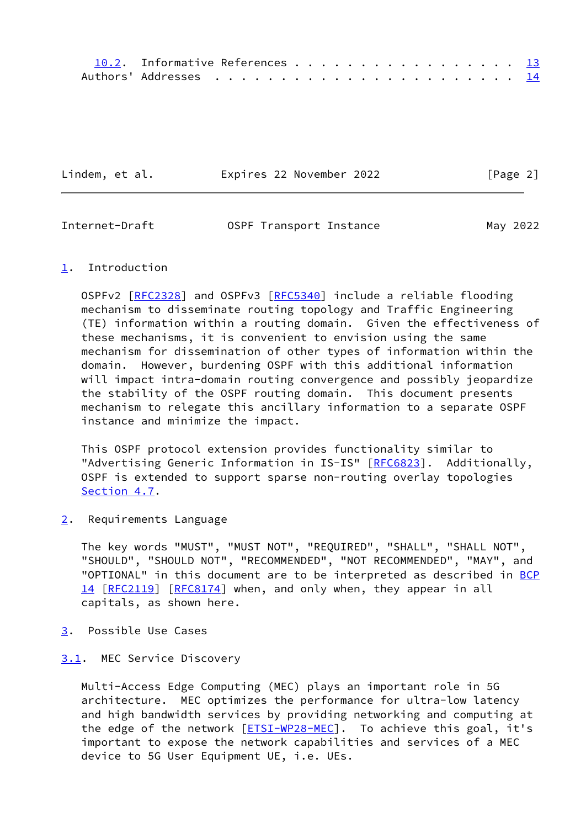| 10.2. Informative References 13 |  |  |  |  |  |  |  |  |  |
|---------------------------------|--|--|--|--|--|--|--|--|--|
|                                 |  |  |  |  |  |  |  |  |  |

Lindem, et al. Expires 22 November 2022 [Page 2]

<span id="page-2-1"></span>

| Internet-Draft | OSPF Transport Instance | May 2022 |
|----------------|-------------------------|----------|
|                |                         |          |

## <span id="page-2-0"></span>[1](#page-2-0). Introduction

 OSPFv2 [\[RFC2328](https://datatracker.ietf.org/doc/pdf/rfc2328)] and OSPFv3 [\[RFC5340](https://datatracker.ietf.org/doc/pdf/rfc5340)] include a reliable flooding mechanism to disseminate routing topology and Traffic Engineering (TE) information within a routing domain. Given the effectiveness of these mechanisms, it is convenient to envision using the same mechanism for dissemination of other types of information within the domain. However, burdening OSPF with this additional information will impact intra-domain routing convergence and possibly jeopardize the stability of the OSPF routing domain. This document presents mechanism to relegate this ancillary information to a separate OSPF instance and minimize the impact.

 This OSPF protocol extension provides functionality similar to "Advertising Generic Information in IS-IS" [[RFC6823\]](https://datatracker.ietf.org/doc/pdf/rfc6823). Additionally, OSPF is extended to support sparse non-routing overlay topologies [Section 4.7](#page-7-0).

<span id="page-2-2"></span>[2](#page-2-2). Requirements Language

 The key words "MUST", "MUST NOT", "REQUIRED", "SHALL", "SHALL NOT", "SHOULD", "SHOULD NOT", "RECOMMENDED", "NOT RECOMMENDED", "MAY", and "OPTIONAL" in this document are to be interpreted as described in [BCP](https://datatracker.ietf.org/doc/pdf/bcp14) [14](https://datatracker.ietf.org/doc/pdf/bcp14) [[RFC2119\]](https://datatracker.ietf.org/doc/pdf/rfc2119) [\[RFC8174](https://datatracker.ietf.org/doc/pdf/rfc8174)] when, and only when, they appear in all capitals, as shown here.

<span id="page-2-3"></span>[3](#page-2-3). Possible Use Cases

## <span id="page-2-4"></span>[3.1](#page-2-4). MEC Service Discovery

 Multi-Access Edge Computing (MEC) plays an important role in 5G architecture. MEC optimizes the performance for ultra-low latency and high bandwidth services by providing networking and computing at the edge of the network [\[ETSI-WP28-MEC](#page-14-2)]. To achieve this goal, it's important to expose the network capabilities and services of a MEC device to 5G User Equipment UE, i.e. UEs.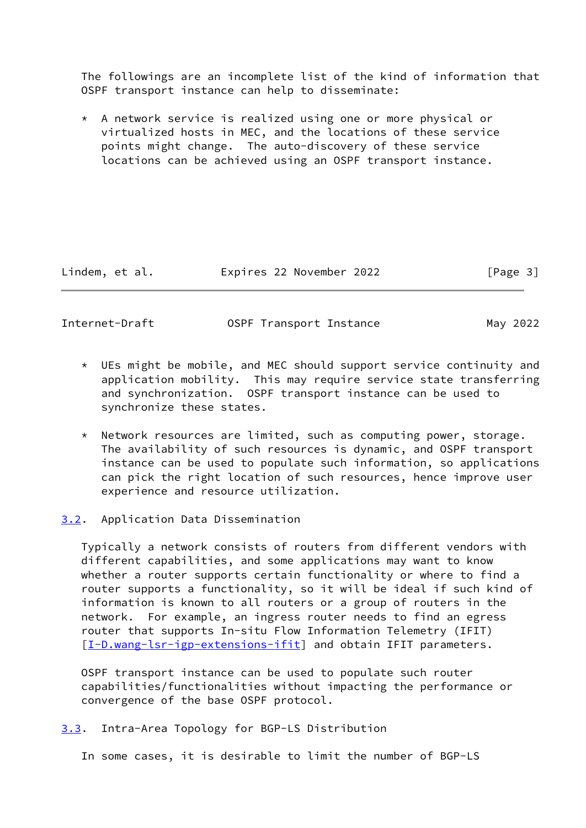The followings are an incomplete list of the kind of information that OSPF transport instance can help to disseminate:

 \* A network service is realized using one or more physical or virtualized hosts in MEC, and the locations of these service points might change. The auto-discovery of these service locations can be achieved using an OSPF transport instance.

Lindem, et al. Expires 22 November 2022 [Page 3]

<span id="page-3-1"></span>Internet-Draft OSPF Transport Instance May 2022

- \* UEs might be mobile, and MEC should support service continuity and application mobility. This may require service state transferring and synchronization. OSPF transport instance can be used to synchronize these states.
- \* Network resources are limited, such as computing power, storage. The availability of such resources is dynamic, and OSPF transport instance can be used to populate such information, so applications can pick the right location of such resources, hence improve user experience and resource utilization.
- <span id="page-3-0"></span>[3.2](#page-3-0). Application Data Dissemination

 Typically a network consists of routers from different vendors with different capabilities, and some applications may want to know whether a router supports certain functionality or where to find a router supports a functionality, so it will be ideal if such kind of information is known to all routers or a group of routers in the network. For example, an ingress router needs to find an egress router that supports In-situ Flow Information Telemetry (IFIT) [\[I-D.wang-lsr-igp-extensions-ifit](#page-14-3)] and obtain IFIT parameters.

 OSPF transport instance can be used to populate such router capabilities/functionalities without impacting the performance or convergence of the base OSPF protocol.

<span id="page-3-2"></span>[3.3](#page-3-2). Intra-Area Topology for BGP-LS Distribution

In some cases, it is desirable to limit the number of BGP-LS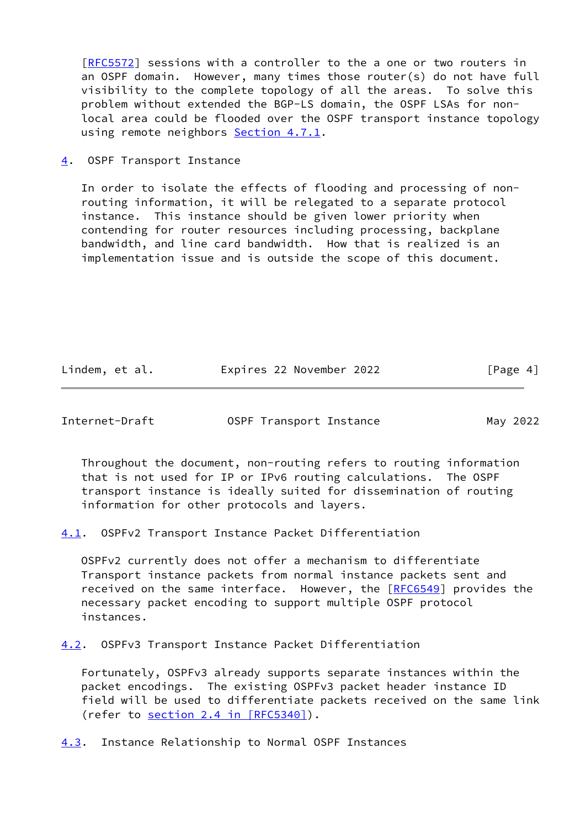[\[RFC5572](https://datatracker.ietf.org/doc/pdf/rfc5572)] sessions with a controller to the a one or two routers in an OSPF domain. However, many times those router(s) do not have full visibility to the complete topology of all the areas. To solve this problem without extended the BGP-LS domain, the OSPF LSAs for non local area could be flooded over the OSPF transport instance topology using remote neighbors [Section 4.7.1.](#page-7-1)

<span id="page-4-0"></span>[4](#page-4-0). OSPF Transport Instance

 In order to isolate the effects of flooding and processing of non routing information, it will be relegated to a separate protocol instance. This instance should be given lower priority when contending for router resources including processing, backplane bandwidth, and line card bandwidth. How that is realized is an implementation issue and is outside the scope of this document.

| Lindem, et al. | Expires 22 November 2022 | [Page 4] |
|----------------|--------------------------|----------|
|----------------|--------------------------|----------|

<span id="page-4-2"></span>Internet-Draft OSPF Transport Instance May 2022

 Throughout the document, non-routing refers to routing information that is not used for IP or IPv6 routing calculations. The OSPF transport instance is ideally suited for dissemination of routing information for other protocols and layers.

<span id="page-4-1"></span>[4.1](#page-4-1). OSPFv2 Transport Instance Packet Differentiation

 OSPFv2 currently does not offer a mechanism to differentiate Transport instance packets from normal instance packets sent and received on the same interface. However, the [[RFC6549](https://datatracker.ietf.org/doc/pdf/rfc6549)] provides the necessary packet encoding to support multiple OSPF protocol instances.

<span id="page-4-3"></span>[4.2](#page-4-3). OSPFv3 Transport Instance Packet Differentiation

 Fortunately, OSPFv3 already supports separate instances within the packet encodings. The existing OSPFv3 packet header instance ID field will be used to differentiate packets received on the same link (refer to section [2.4 in \[RFC5340\]](https://datatracker.ietf.org/doc/pdf/rfc5340#section-2.4)).

<span id="page-4-4"></span>[4.3](#page-4-4). Instance Relationship to Normal OSPF Instances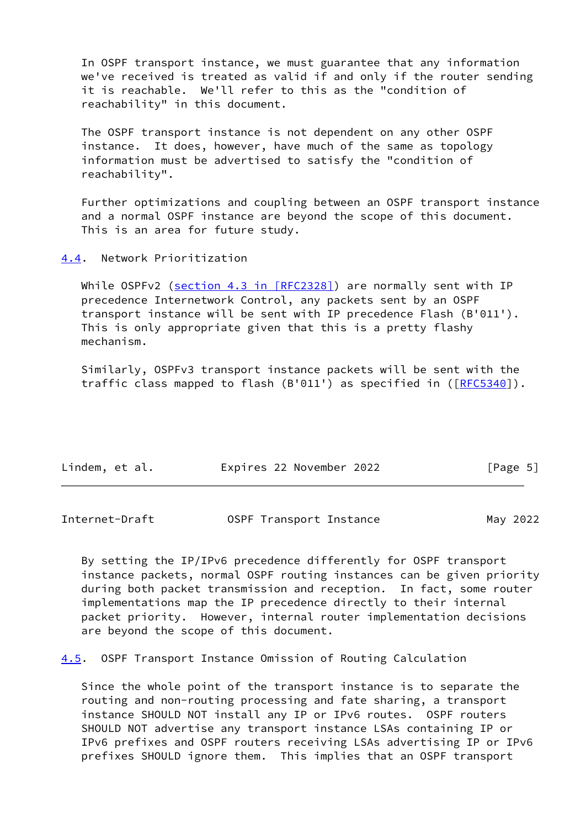In OSPF transport instance, we must guarantee that any information we've received is treated as valid if and only if the router sending it is reachable. We'll refer to this as the "condition of reachability" in this document.

 The OSPF transport instance is not dependent on any other OSPF instance. It does, however, have much of the same as topology information must be advertised to satisfy the "condition of reachability".

 Further optimizations and coupling between an OSPF transport instance and a normal OSPF instance are beyond the scope of this document. This is an area for future study.

<span id="page-5-0"></span>[4.4](#page-5-0). Network Prioritization

While OSPFv2 (section [4.3 in \[RFC2328\]](https://datatracker.ietf.org/doc/pdf/rfc2328#section-4.3)) are normally sent with IP precedence Internetwork Control, any packets sent by an OSPF transport instance will be sent with IP precedence Flash (B'011'). This is only appropriate given that this is a pretty flashy mechanism.

 Similarly, OSPFv3 transport instance packets will be sent with the traffic class mapped to flash  $(B'011')$  as specified in  $([RFC5340])$  $([RFC5340])$  $([RFC5340])$ .

| Lindem, et al. | Expires 22 November 2022 | [Page 5] |
|----------------|--------------------------|----------|
|----------------|--------------------------|----------|

<span id="page-5-1"></span>Internet-Draft OSPF Transport Instance May 2022

 By setting the IP/IPv6 precedence differently for OSPF transport instance packets, normal OSPF routing instances can be given priority during both packet transmission and reception. In fact, some router implementations map the IP precedence directly to their internal packet priority. However, internal router implementation decisions are beyond the scope of this document.

<span id="page-5-2"></span>[4.5](#page-5-2). OSPF Transport Instance Omission of Routing Calculation

 Since the whole point of the transport instance is to separate the routing and non-routing processing and fate sharing, a transport instance SHOULD NOT install any IP or IPv6 routes. OSPF routers SHOULD NOT advertise any transport instance LSAs containing IP or IPv6 prefixes and OSPF routers receiving LSAs advertising IP or IPv6 prefixes SHOULD ignore them. This implies that an OSPF transport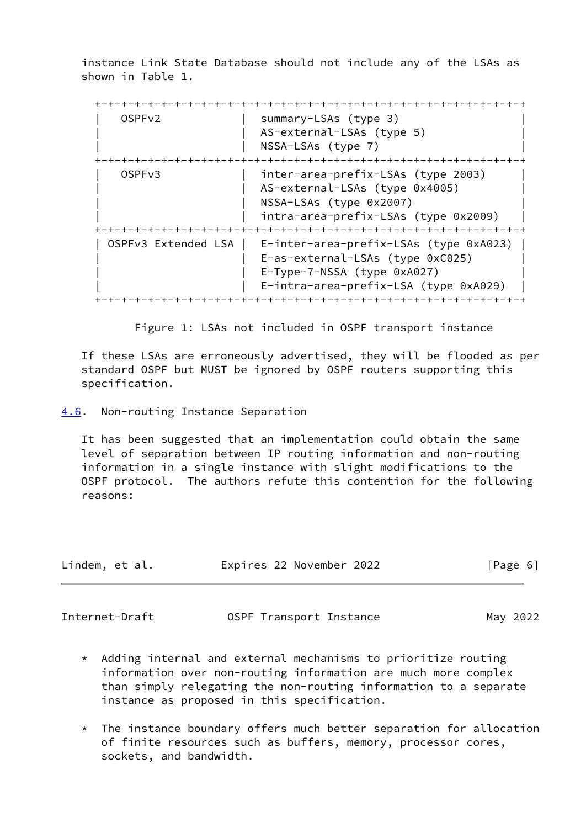instance Link State Database should not include any of the LSAs as shown in Table 1.

 +-+-+-+-+-+-+-+-+-+-+-+-+-+-+-+-+-+-+-+-+-+-+-+-+-+-+-+-+-+-+-+-+ | OSPFv2 | summary-LSAs (type 3) | AS-external-LSAs (type 5) NSSA-LSAs (type 7) +-+-+-+-+-+-+-+-+-+-+-+-+-+-+-+-+-+-+-+-+-+-+-+-+-+-+-+-+-+-+-+-+ | OSPFv3 | inter-area-prefix-LSAs (type 2003) | AS-external-LSAs (type 0x4005) NSSA-LSAs (type 0x2007) intra-area-prefix-LSAs (type 0x2009) +-+-+-+-+-+-+-+-+-+-+-+-+-+-+-+-+-+-+-+-+-+-+-+-+-+-+-+-+-+-+-+-+ | OSPFv3 Extended LSA | E-inter-area-prefix-LSAs (type 0xA023) | E-as-external-LSAs (type 0xC025) E-Type-7-NSSA (type 0xA027) E-intra-area-prefix-LSA (type 0xA029) +-+-+-+-+-+-+-+-+-+-+-+-+-+-+-+-+-+-+-+-+-+-+-+-+-+-+-+-+-+-+-+-+

Figure 1: LSAs not included in OSPF transport instance

 If these LSAs are erroneously advertised, they will be flooded as per standard OSPF but MUST be ignored by OSPF routers supporting this specification.

<span id="page-6-0"></span>[4.6](#page-6-0). Non-routing Instance Separation

 It has been suggested that an implementation could obtain the same level of separation between IP routing information and non-routing information in a single instance with slight modifications to the OSPF protocol. The authors refute this contention for the following reasons:

| Lindem, et al. |  | Expires 22 November 2022 | [Page 6] |  |
|----------------|--|--------------------------|----------|--|
|                |  |                          |          |  |

<span id="page-6-1"></span>Internet-Draft OSPF Transport Instance May 2022

- \* Adding internal and external mechanisms to prioritize routing information over non-routing information are much more complex than simply relegating the non-routing information to a separate instance as proposed in this specification.
- \* The instance boundary offers much better separation for allocation of finite resources such as buffers, memory, processor cores, sockets, and bandwidth.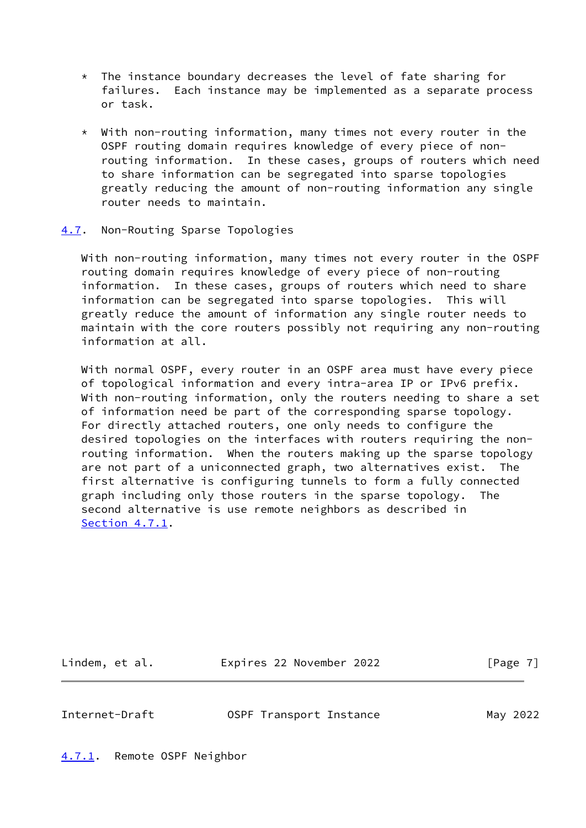- \* The instance boundary decreases the level of fate sharing for failures. Each instance may be implemented as a separate process or task.
- \* With non-routing information, many times not every router in the OSPF routing domain requires knowledge of every piece of non routing information. In these cases, groups of routers which need to share information can be segregated into sparse topologies greatly reducing the amount of non-routing information any single router needs to maintain.

## <span id="page-7-0"></span>[4.7](#page-7-0). Non-Routing Sparse Topologies

 With non-routing information, many times not every router in the OSPF routing domain requires knowledge of every piece of non-routing information. In these cases, groups of routers which need to share information can be segregated into sparse topologies. This will greatly reduce the amount of information any single router needs to maintain with the core routers possibly not requiring any non-routing information at all.

 With normal OSPF, every router in an OSPF area must have every piece of topological information and every intra-area IP or IPv6 prefix. With non-routing information, only the routers needing to share a set of information need be part of the corresponding sparse topology. For directly attached routers, one only needs to configure the desired topologies on the interfaces with routers requiring the non routing information. When the routers making up the sparse topology are not part of a uniconnected graph, two alternatives exist. The first alternative is configuring tunnels to form a fully connected graph including only those routers in the sparse topology. The second alternative is use remote neighbors as described in [Section 4.7.1](#page-7-1).

Lindem, et al. **Expires 22 November 2022** [Page 7]

<span id="page-7-2"></span>Internet-Draft OSPF Transport Instance May 2022

<span id="page-7-1"></span>[4.7.1](#page-7-1). Remote OSPF Neighbor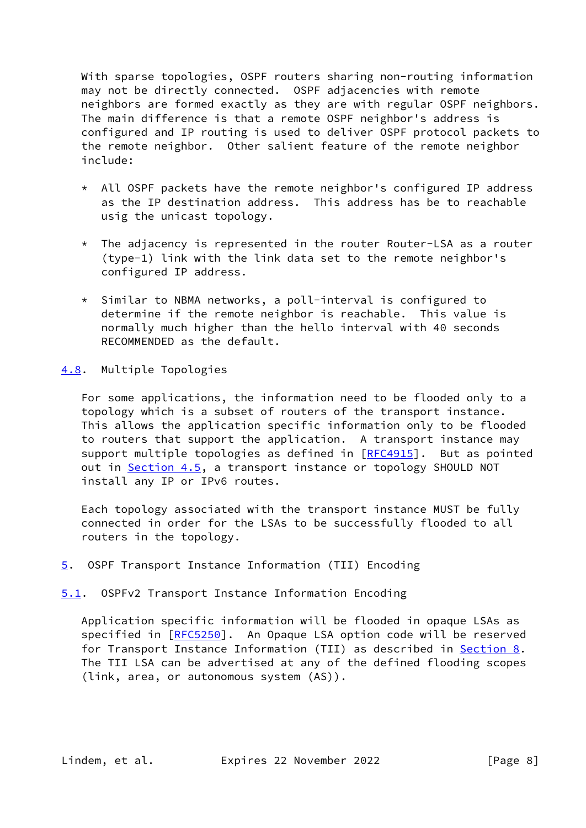With sparse topologies, OSPF routers sharing non-routing information may not be directly connected. OSPF adjacencies with remote neighbors are formed exactly as they are with regular OSPF neighbors. The main difference is that a remote OSPF neighbor's address is configured and IP routing is used to deliver OSPF protocol packets to the remote neighbor. Other salient feature of the remote neighbor include:

- \* All OSPF packets have the remote neighbor's configured IP address as the IP destination address. This address has be to reachable usig the unicast topology.
- \* The adjacency is represented in the router Router-LSA as a router (type-1) link with the link data set to the remote neighbor's configured IP address.
- \* Similar to NBMA networks, a poll-interval is configured to determine if the remote neighbor is reachable. This value is normally much higher than the hello interval with 40 seconds RECOMMENDED as the default.
- <span id="page-8-0"></span>[4.8](#page-8-0). Multiple Topologies

 For some applications, the information need to be flooded only to a topology which is a subset of routers of the transport instance. This allows the application specific information only to be flooded to routers that support the application. A transport instance may support multiple topologies as defined in [[RFC4915](https://datatracker.ietf.org/doc/pdf/rfc4915)]. But as pointed out in [Section 4.5](#page-5-2), a transport instance or topology SHOULD NOT install any IP or IPv6 routes.

 Each topology associated with the transport instance MUST be fully connected in order for the LSAs to be successfully flooded to all routers in the topology.

- <span id="page-8-1"></span>[5](#page-8-1). OSPF Transport Instance Information (TII) Encoding
- <span id="page-8-2"></span>[5.1](#page-8-2). OSPFv2 Transport Instance Information Encoding

 Application specific information will be flooded in opaque LSAs as specified in [\[RFC5250](https://datatracker.ietf.org/doc/pdf/rfc5250)]. An Opaque LSA option code will be reserved for Transport Instance Information (TII) as described in [Section 8](#page-12-2). The TII LSA can be advertised at any of the defined flooding scopes (link, area, or autonomous system (AS)).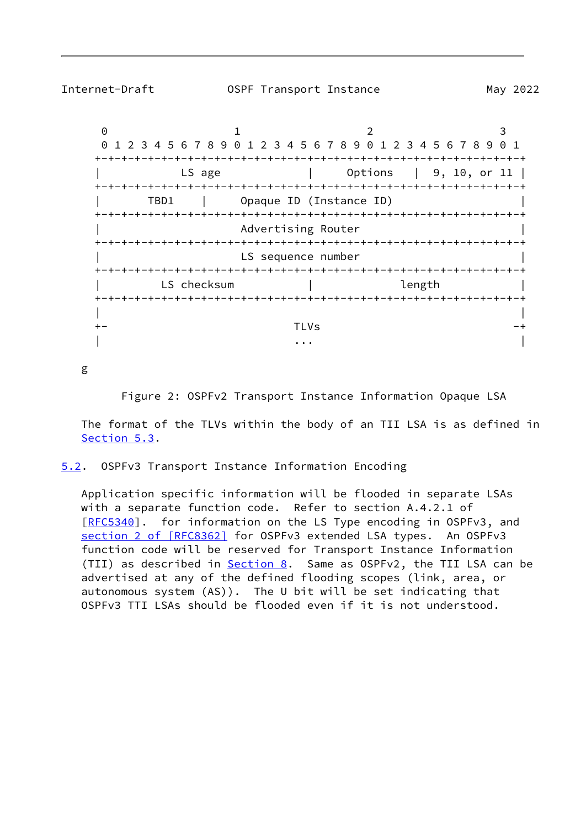<span id="page-9-1"></span>

Internet-Draft OSPF Transport Instance May 2022

0 1 2 3 0 1 2 3 4 5 6 7 8 9 0 1 2 3 4 5 6 7 8 9 0 1 2 3 4 5 6 7 8 9 0 1 +-+-+-+-+-+-+-+-+-+-+-+-+-+-+-+-+-+-+-+-+-+-+-+-+-+-+-+-+-+-+-+-+ | LS age | Options | 9, 10, or 11 | +-+-+-+-+-+-+-+-+-+-+-+-+-+-+-+-+-+-+-+-+-+-+-+-+-+-+-+-+-+-+-+-+ | TBD1 | Opaque ID (Instance ID) | +-+-+-+-+-+-+-+-+-+-+-+-+-+-+-+-+-+-+-+-+-+-+-+-+-+-+-+-+-+-+-+-+ Advertising Router +-+-+-+-+-+-+-+-+-+-+-+-+-+-+-+-+-+-+-+-+-+-+-+-+-+-+-+-+-+-+-+-+ LS sequence number +-+-+-+-+-+-+-+-+-+-+-+-+-+-+-+-+-+-+-+-+-+-+-+-+-+-+-+-+-+-+-+-+ LS checksum and in the length is the length in the length in the length is a length in the length in the length +-+-+-+-+-+-+-+-+-+-+-+-+-+-+-+-+-+-+-+-+-+-+-+-+-+-+-+-+-+-+-+-+ | | +- TLVs -+ | ... | ... | ... | ... | ... | ... | ... | ... | ... | ... | ... | ... | ... | ... | ... | ... | ... | ... |

g

Figure 2: OSPFv2 Transport Instance Information Opaque LSA

 The format of the TLVs within the body of an TII LSA is as defined in [Section 5.3](#page-10-0).

<span id="page-9-0"></span>[5.2](#page-9-0). OSPFv3 Transport Instance Information Encoding

 Application specific information will be flooded in separate LSAs with a separate function code. Refer to section A.4.2.1 of [\[RFC5340](https://datatracker.ietf.org/doc/pdf/rfc5340)]. for information on the LS Type encoding in OSPFv3, and section [2 of \[RFC8362\]](https://datatracker.ietf.org/doc/pdf/rfc8362#section-2) for OSPFv3 extended LSA types. An OSPFv3 function code will be reserved for Transport Instance Information (TII) as described in **Section 8.** Same as OSPFv2, the TII LSA can be advertised at any of the defined flooding scopes (link, area, or autonomous system (AS)). The U bit will be set indicating that OSPFv3 TTI LSAs should be flooded even if it is not understood.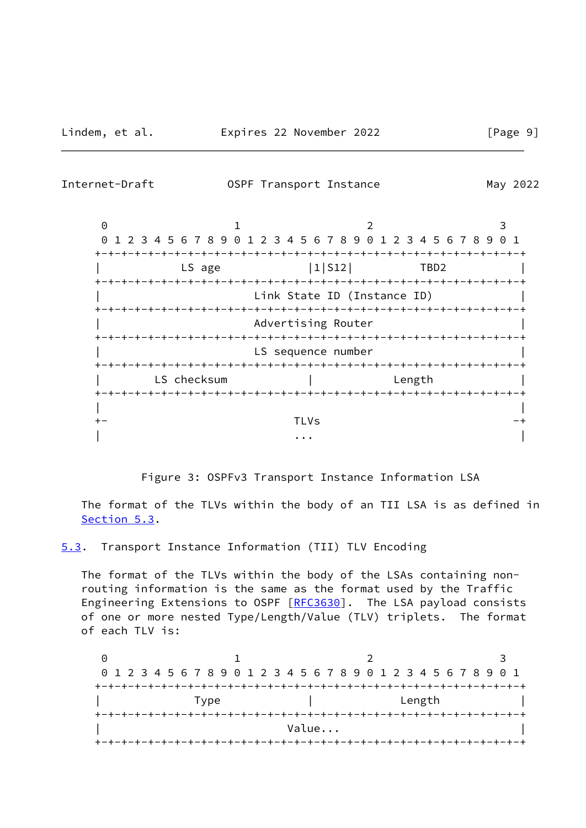<span id="page-10-1"></span>Internet-Draft OSPF Transport Instance May 2022

0 1 2 3 0 1 2 3 4 5 6 7 8 9 0 1 2 3 4 5 6 7 8 9 0 1 2 3 4 5 6 7 8 9 0 1 +-+-+-+-+-+-+-+-+-+-+-+-+-+-+-+-+-+-+-+-+-+-+-+-+-+-+-+-+-+-+-+-+ LS age  $|1|$  S12 | TBD2 +-+-+-+-+-+-+-+-+-+-+-+-+-+-+-+-+-+-+-+-+-+-+-+-+-+-+-+-+-+-+-+-+ Link State ID (Instance ID) +-+-+-+-+-+-+-+-+-+-+-+-+-+-+-+-+-+-+-+-+-+-+-+-+-+-+-+-+-+-+-+-+ Advertising Router +-+-+-+-+-+-+-+-+-+-+-+-+-+-+-+-+-+-+-+-+-+-+-+-+-+-+-+-+-+-+-+-+ LS sequence number +-+-+-+-+-+-+-+-+-+-+-+-+-+-+-+-+-+-+-+-+-+-+-+-+-+-+-+-+-+-+-+-+ | LS checksum | Length | +-+-+-+-+-+-+-+-+-+-+-+-+-+-+-+-+-+-+-+-+-+-+-+-+-+-+-+-+-+-+-+-+ | | +- TLVs -+ | ... | ... | ... | ... | ... | ... | ... | ... | ... | ... | ... | ... | ... | ... | ... | ... | ... | ... |

Figure 3: OSPFv3 Transport Instance Information LSA

 The format of the TLVs within the body of an TII LSA is as defined in [Section 5.3](#page-10-0).

<span id="page-10-0"></span>[5.3](#page-10-0). Transport Instance Information (TII) TLV Encoding

 The format of the TLVs within the body of the LSAs containing non routing information is the same as the format used by the Traffic Engineering Extensions to OSPF [\[RFC3630](https://datatracker.ietf.org/doc/pdf/rfc3630)]. The LSA payload consists of one or more nested Type/Length/Value (TLV) triplets. The format of each TLV is:

0 1 2 3 0 1 2 3 4 5 6 7 8 9 0 1 2 3 4 5 6 7 8 9 0 1 2 3 4 5 6 7 8 9 0 1 +-+-+-+-+-+-+-+-+-+-+-+-+-+-+-+-+-+-+-+-+-+-+-+-+-+-+-+-+-+-+-+-+ | Type | Length | | +-+-+-+-+-+-+-+-+-+-+-+-+-+-+-+-+-+-+-+-+-+-+-+-+-+-+-+-+-+-+-+-+ | **Value...** | **Value...** | **Value...** | **Value...** | **|**  $\frac{1}{2}$ +-+-+-+-+-+-+-+-+-+-+-+-+-+-+-+-+-+-+-+-+-+-+-+-+-+-+-+-+-+-+-+-+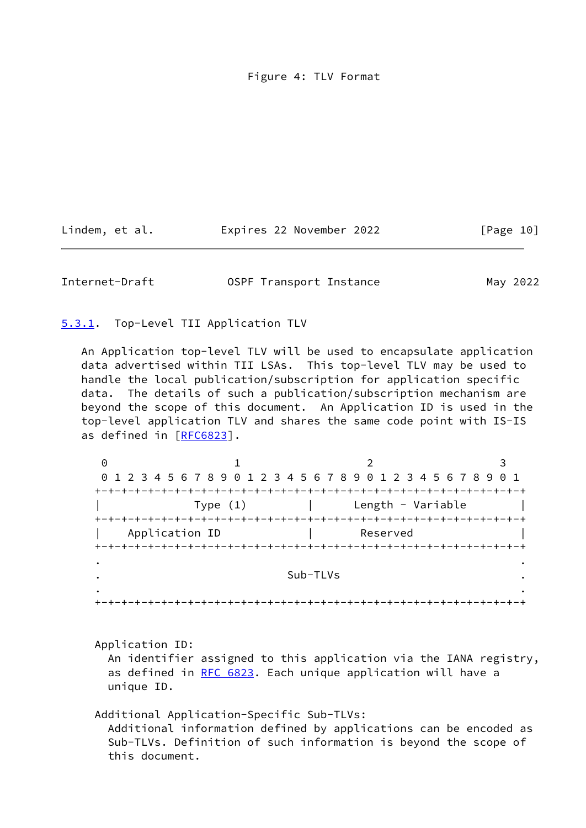Figure 4: TLV Format

| Lindem, et al. | Expires 22 November 2022 | [Page 10] |
|----------------|--------------------------|-----------|
|----------------|--------------------------|-----------|

<span id="page-11-1"></span>Internet-Draft **OSPF Transport Instance** May 2022

<span id="page-11-0"></span>[5.3.1](#page-11-0). Top-Level TII Application TLV

 An Application top-level TLV will be used to encapsulate application data advertised within TII LSAs. This top-level TLV may be used to handle the local publication/subscription for application specific data. The details of such a publication/subscription mechanism are beyond the scope of this document. An Application ID is used in the top-level application TLV and shares the same code point with IS-IS as defined in [[RFC6823](https://datatracker.ietf.org/doc/pdf/rfc6823)].

| 0 |                |          |                                                                 |  |
|---|----------------|----------|-----------------------------------------------------------------|--|
|   |                |          | 0 1 2 3 4 5 6 7 8 9 0 1 2 3 4 5 6 7 8 9 0 1 2 3 4 5 6 7 8 9 0 1 |  |
|   |                |          |                                                                 |  |
|   | Type $(1)$     |          | Length - Variable                                               |  |
|   |                |          |                                                                 |  |
|   | Application ID |          | Reserved                                                        |  |
|   |                |          |                                                                 |  |
|   |                |          |                                                                 |  |
|   |                |          |                                                                 |  |
|   |                | Sub-TLVs |                                                                 |  |
|   |                |          |                                                                 |  |

 Application ID: An identifier assigned to this application via the IANA registry, as defined in [RFC 6823](https://datatracker.ietf.org/doc/pdf/rfc6823). Each unique application will have a unique ID.

Additional Application-Specific Sub-TLVs:

 Additional information defined by applications can be encoded as Sub-TLVs. Definition of such information is beyond the scope of this document.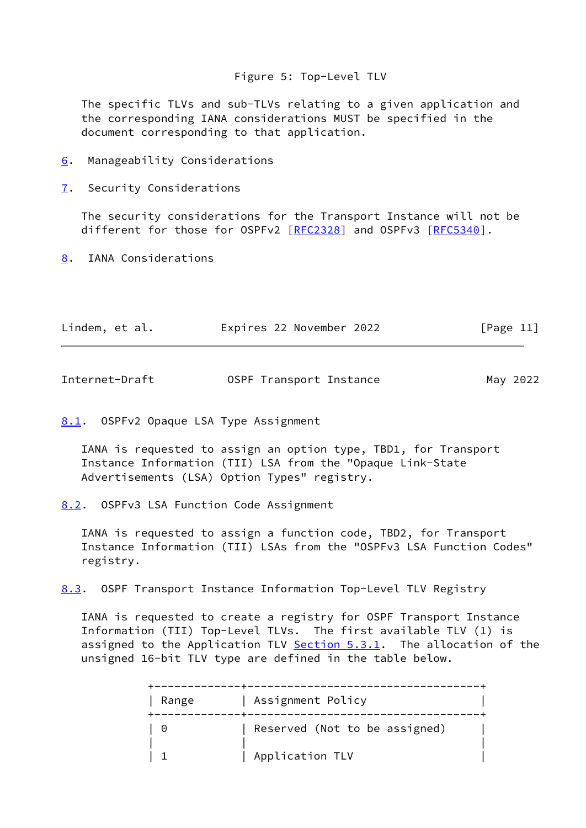## Figure 5: Top-Level TLV

 The specific TLVs and sub-TLVs relating to a given application and the corresponding IANA considerations MUST be specified in the document corresponding to that application.

- <span id="page-12-0"></span>[6](#page-12-0). Manageability Considerations
- <span id="page-12-1"></span>[7](#page-12-1). Security Considerations

 The security considerations for the Transport Instance will not be different for those for OSPFv2 [\[RFC2328](https://datatracker.ietf.org/doc/pdf/rfc2328)] and OSPFv3 [\[RFC5340](https://datatracker.ietf.org/doc/pdf/rfc5340)].

<span id="page-12-2"></span>[8](#page-12-2). IANA Considerations

| Lindem, et al. | Expires 22 November 2022 | [Page 11] |
|----------------|--------------------------|-----------|
|----------------|--------------------------|-----------|

<span id="page-12-4"></span>

| Internet-Draft | OSPF Transport Instance | May 2022 |
|----------------|-------------------------|----------|
|----------------|-------------------------|----------|

<span id="page-12-3"></span>[8.1](#page-12-3). OSPFv2 Opaque LSA Type Assignment

 IANA is requested to assign an option type, TBD1, for Transport Instance Information (TII) LSA from the "Opaque Link-State Advertisements (LSA) Option Types" registry.

<span id="page-12-5"></span>[8.2](#page-12-5). OSPFv3 LSA Function Code Assignment

 IANA is requested to assign a function code, TBD2, for Transport Instance Information (TII) LSAs from the "OSPFv3 LSA Function Codes" registry.

<span id="page-12-6"></span>[8.3](#page-12-6). OSPF Transport Instance Information Top-Level TLV Registry

 IANA is requested to create a registry for OSPF Transport Instance Information (TII) Top-Level TLVs. The first available TLV (1) is assigned to the Application TLV [Section 5.3.1](#page-11-0). The allocation of the unsigned 16-bit TLV type are defined in the table below.

| Range    | Assignment Policy             |  |
|----------|-------------------------------|--|
| $\Theta$ | Reserved (Not to be assigned) |  |
|          | Application TLV               |  |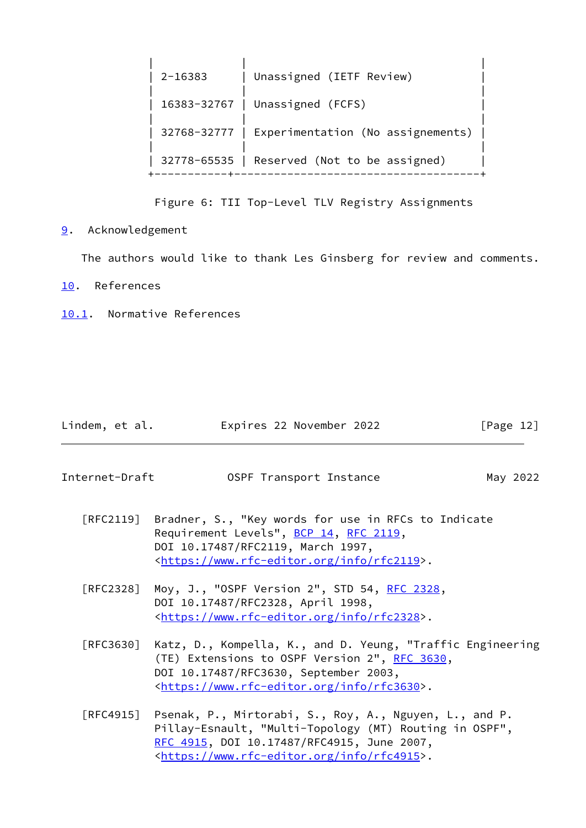| $2 - 16383$ | Unassigned (IETF Review)                        |
|-------------|-------------------------------------------------|
|             | 16383-32767   Unassigned (FCFS)                 |
|             | 32768-32777   Experimentation (No assignements) |
|             | 32778-65535   Reserved (Not to be assigned)     |

Figure 6: TII Top-Level TLV Registry Assignments

<span id="page-13-0"></span>[9](#page-13-0). Acknowledgement

The authors would like to thank Les Ginsberg for review and comments.

<span id="page-13-1"></span>[10.](#page-13-1) References

<span id="page-13-2"></span>[10.1](#page-13-2). Normative References

| Lindem, et al. | Expires 22 November 2022 | [Page 12] |
|----------------|--------------------------|-----------|
|----------------|--------------------------|-----------|

<span id="page-13-3"></span>Internet-Draft **OSPF Transport Instance** May 2022

- [RFC2119] Bradner, S., "Key words for use in RFCs to Indicate Requirement Levels", [BCP 14](https://datatracker.ietf.org/doc/pdf/bcp14), [RFC 2119](https://datatracker.ietf.org/doc/pdf/rfc2119), DOI 10.17487/RFC2119, March 1997, <[https://www.rfc-editor.org/info/rfc2119>](https://www.rfc-editor.org/info/rfc2119).
- [RFC2328] Moy, J., "OSPF Version 2", STD 54, [RFC 2328](https://datatracker.ietf.org/doc/pdf/rfc2328), DOI 10.17487/RFC2328, April 1998, <[https://www.rfc-editor.org/info/rfc2328>](https://www.rfc-editor.org/info/rfc2328).
- [RFC3630] Katz, D., Kompella, K., and D. Yeung, "Traffic Engineering (TE) Extensions to OSPF Version 2", [RFC 3630,](https://datatracker.ietf.org/doc/pdf/rfc3630) DOI 10.17487/RFC3630, September 2003, <[https://www.rfc-editor.org/info/rfc3630>](https://www.rfc-editor.org/info/rfc3630).
- [RFC4915] Psenak, P., Mirtorabi, S., Roy, A., Nguyen, L., and P. Pillay-Esnault, "Multi-Topology (MT) Routing in OSPF", [RFC 4915,](https://datatracker.ietf.org/doc/pdf/rfc4915) DOI 10.17487/RFC4915, June 2007, <[https://www.rfc-editor.org/info/rfc4915>](https://www.rfc-editor.org/info/rfc4915).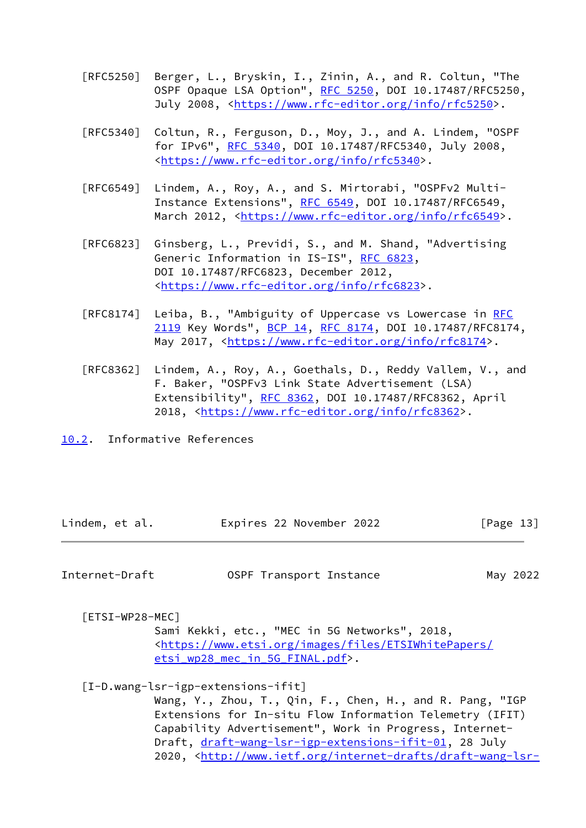- [RFC5250] Berger, L., Bryskin, I., Zinin, A., and R. Coltun, "The OSPF Opaque LSA Option", [RFC 5250,](https://datatracker.ietf.org/doc/pdf/rfc5250) DOI 10.17487/RFC5250, July 2008, <<https://www.rfc-editor.org/info/rfc5250>>.
- [RFC5340] Coltun, R., Ferguson, D., Moy, J., and A. Lindem, "OSPF for IPv6", [RFC 5340](https://datatracker.ietf.org/doc/pdf/rfc5340), DOI 10.17487/RFC5340, July 2008, <[https://www.rfc-editor.org/info/rfc5340>](https://www.rfc-editor.org/info/rfc5340).
- [RFC6549] Lindem, A., Roy, A., and S. Mirtorabi, "OSPFv2 Multi- Instance Extensions", [RFC 6549](https://datatracker.ietf.org/doc/pdf/rfc6549), DOI 10.17487/RFC6549, March 2012, [<https://www.rfc-editor.org/info/rfc6549](https://www.rfc-editor.org/info/rfc6549)>.
- [RFC6823] Ginsberg, L., Previdi, S., and M. Shand, "Advertising Generic Information in IS-IS", [RFC 6823](https://datatracker.ietf.org/doc/pdf/rfc6823), DOI 10.17487/RFC6823, December 2012, <[https://www.rfc-editor.org/info/rfc6823>](https://www.rfc-editor.org/info/rfc6823).
- [RFC8174] Leiba, B., "Ambiguity of Uppercase vs Lowercase in [RFC](https://datatracker.ietf.org/doc/pdf/rfc2119) [2119](https://datatracker.ietf.org/doc/pdf/rfc2119) Key Words", [BCP 14](https://datatracker.ietf.org/doc/pdf/bcp14), [RFC 8174,](https://datatracker.ietf.org/doc/pdf/rfc8174) DOI 10.17487/RFC8174, May 2017, [<https://www.rfc-editor.org/info/rfc8174](https://www.rfc-editor.org/info/rfc8174)>.
- [RFC8362] Lindem, A., Roy, A., Goethals, D., Reddy Vallem, V., and F. Baker, "OSPFv3 Link State Advertisement (LSA) Extensibility", [RFC 8362,](https://datatracker.ietf.org/doc/pdf/rfc8362) DOI 10.17487/RFC8362, April 2018, [<https://www.rfc-editor.org/info/rfc8362](https://www.rfc-editor.org/info/rfc8362)>.
- <span id="page-14-0"></span>[10.2](#page-14-0). Informative References

| Lindem, et al. | Expires 22 November 2022 | [Page 13] |
|----------------|--------------------------|-----------|
|----------------|--------------------------|-----------|

<span id="page-14-1"></span>

| Internet-Draft | OSPF Transport Instance | May 2022 |
|----------------|-------------------------|----------|
|----------------|-------------------------|----------|

<span id="page-14-2"></span>[ETSI-WP28-MEC]

 Sami Kekki, etc., "MEC in 5G Networks", 2018, <[https://www.etsi.org/images/files/ETSIWhitePapers/](https://www.etsi.org/images/files/ETSIWhitePapers/etsi_wp28_mec_in_5G_FINAL.pdf) [etsi\\_wp28\\_mec\\_in\\_5G\\_FINAL.pdf>](https://www.etsi.org/images/files/ETSIWhitePapers/etsi_wp28_mec_in_5G_FINAL.pdf).

## <span id="page-14-3"></span>[I-D.wang-lsr-igp-extensions-ifit]

 Wang, Y., Zhou, T., Qin, F., Chen, H., and R. Pang, "IGP Extensions for In-situ Flow Information Telemetry (IFIT) Capability Advertisement", Work in Progress, Internet- Draft, [draft-wang-lsr-igp-extensions-ifit-01,](https://datatracker.ietf.org/doc/pdf/draft-wang-lsr-igp-extensions-ifit-01) 28 July 2020, [<http://www.ietf.org/internet-drafts/draft-wang-lsr-](http://www.ietf.org/internet-drafts/draft-wang-lsr-igp-extensions-ifit-01.txt)